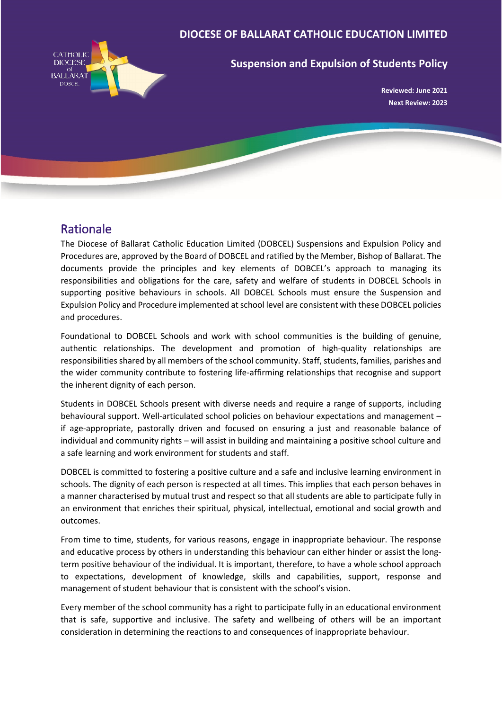### **DIOCESE OF BALLARAT CATHOLIC EDUCATION LIMITED**



### **Suspension and Expulsion of Students Policy**

**Reviewed: June 2021 Next Review: 2023**

## Rationale

The Diocese of Ballarat Catholic Education Limited (DOBCEL) Suspensions and Expulsion Policy and Procedures are, approved by the Board of DOBCEL and ratified by the Member, Bishop of Ballarat. The documents provide the principles and key elements of DOBCEL's approach to managing its responsibilities and obligations for the care, safety and welfare of students in DOBCEL Schools in supporting positive behaviours in schools. All DOBCEL Schools must ensure the Suspension and Expulsion Policy and Procedure implemented at school level are consistent with these DOBCEL policies and procedures.

Foundational to DOBCEL Schools and work with school communities is the building of genuine, authentic relationships. The development and promotion of high-quality relationships are responsibilities shared by all members of the school community. Staff, students, families, parishes and the wider community contribute to fostering life-affirming relationships that recognise and support the inherent dignity of each person.

Students in DOBCEL Schools present with diverse needs and require a range of supports, including behavioural support. Well-articulated school policies on behaviour expectations and management – if age-appropriate, pastorally driven and focused on ensuring a just and reasonable balance of individual and community rights – will assist in building and maintaining a positive school culture and a safe learning and work environment for students and staff.

DOBCEL is committed to fostering a positive culture and a safe and inclusive learning environment in schools. The dignity of each person is respected at all times. This implies that each person behaves in a manner characterised by mutual trust and respect so that all students are able to participate fully in an environment that enriches their spiritual, physical, intellectual, emotional and social growth and outcomes.

From time to time, students, for various reasons, engage in inappropriate behaviour. The response and educative process by others in understanding this behaviour can either hinder or assist the longterm positive behaviour of the individual. It is important, therefore, to have a whole school approach to expectations, development of knowledge, skills and capabilities, support, response and management of student behaviour that is consistent with the school's vision.

Every member of the school community has a right to participate fully in an educational environment that is safe, supportive and inclusive. The safety and wellbeing of others will be an important consideration in determining the reactions to and consequences of inappropriate behaviour.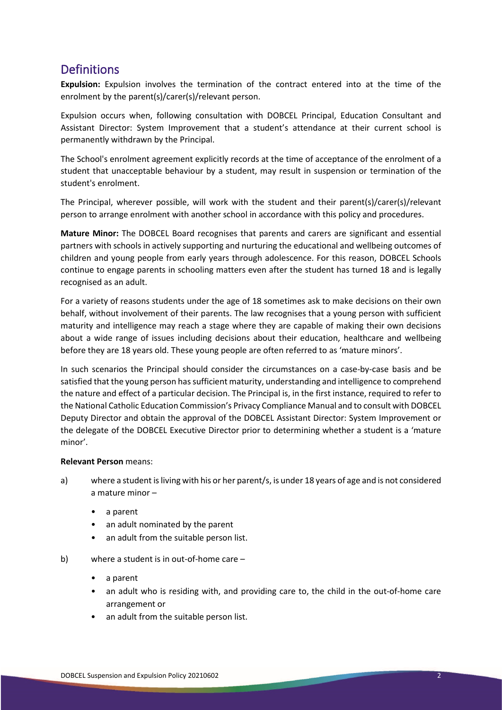# **Definitions**

**Expulsion:** Expulsion involves the termination of the contract entered into at the time of the enrolment by the parent(s)/carer(s)/relevant person.

Expulsion occurs when, following consultation with DOBCEL Principal, Education Consultant and Assistant Director: System Improvement that a student's attendance at their current school is permanently withdrawn by the Principal.

The School's enrolment agreement explicitly records at the time of acceptance of the enrolment of a student that unacceptable behaviour by a student, may result in suspension or termination of the student's enrolment.

The Principal, wherever possible, will work with the student and their parent(s)/carer(s)/relevant person to arrange enrolment with another school in accordance with this policy and procedures.

**Mature Minor:** The DOBCEL Board recognises that parents and carers are significant and essential partners with schools in actively supporting and nurturing the educational and wellbeing outcomes of children and young people from early years through adolescence. For this reason, DOBCEL Schools continue to engage parents in schooling matters even after the student has turned 18 and is legally recognised as an adult.

For a variety of reasons students under the age of 18 sometimes ask to make decisions on their own behalf, without involvement of their parents. The law recognises that a young person with sufficient maturity and intelligence may reach a stage where they are capable of making their own decisions about a wide range of issues including decisions about their education, healthcare and wellbeing before they are 18 years old. These young people are often referred to as 'mature minors'.

In such scenarios the Principal should consider the circumstances on a case-by-case basis and be satisfied that the young person has sufficient maturity, understanding and intelligence to comprehend the nature and effect of a particular decision. The Principal is, in the first instance, required to refer to the National Catholic Education Commission's Privacy Compliance Manual and to consult with DOBCEL Deputy Director and obtain the approval of the DOBCEL Assistant Director: System Improvement or the delegate of the DOBCEL Executive Director prior to determining whether a student is a 'mature minor'.

### **Relevant Person** means:

- a) where a student is living with his or her parent/s, is under 18 years of age and is not considered a mature minor –
	- a parent
	- an adult nominated by the parent
	- an adult from the suitable person list.
- b) where a student is in out-of-home care
	- a parent
	- an adult who is residing with, and providing care to, the child in the out-of-home care arrangement or
	- an adult from the suitable person list.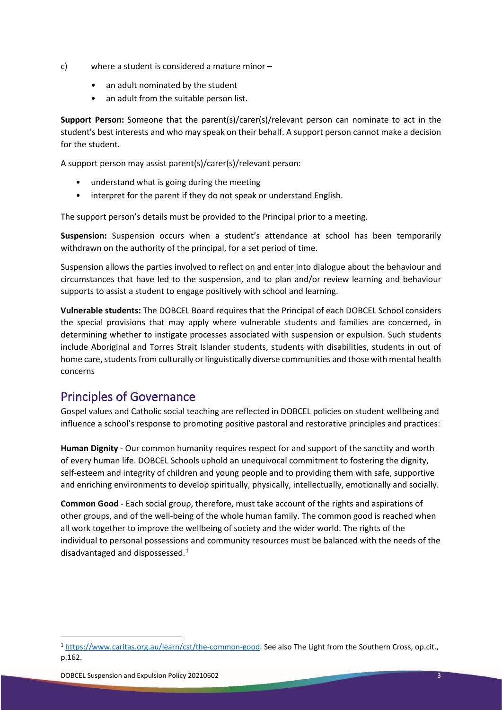- c) where a student is considered a mature minor
	- an adult nominated by the student
	- an adult from the suitable person list.

**Support Person:** Someone that the parent(s)/carer(s)/relevant person can nominate to act in the student's best interests and who may speak on their behalf. A support person cannot make a decision for the student.

A support person may assist parent(s)/carer(s)/relevant person:

- understand what is going during the meeting
- interpret for the parent if they do not speak or understand English.

The support person's details must be provided to the Principal prior to a meeting.

**Suspension:** Suspension occurs when a student's attendance at school has been temporarily withdrawn on the authority of the principal, for a set period of time.

Suspension allows the parties involved to reflect on and enter into dialogue about the behaviour and circumstances that have led to the suspension, and to plan and/or review learning and behaviour supports to assist a student to engage positively with school and learning.

**Vulnerable students:** The DOBCEL Board requires that the Principal of each DOBCEL School considers the special provisions that may apply where vulnerable students and families are concerned, in determining whether to instigate processes associated with suspension or expulsion. Such students include Aboriginal and Torres Strait Islander students, students with disabilities, students in out of home care, students from culturally or linguistically diverse communities and those with mental health concerns

# Principles of Governance

Gospel values and Catholic social teaching are reflected in DOBCEL policies on student wellbeing and influence a school's response to promoting positive pastoral and restorative principles and practices:

**Human Dignity** - Our common humanity requires respect for and support of the sanctity and worth of every human life. DOBCEL Schools uphold an unequivocal commitment to fostering the dignity, self-esteem and integrity of children and young people and to providing them with safe, supportive and enriching environments to develop spiritually, physically, intellectually, emotionally and socially.

**Common Good** - Each social group, therefore, must take account of the rights and aspirations of other groups, and of the well-being of the whole human family. The common good is reached when all work together to improve the wellbeing of society and the wider world. The rights of the individual to personal possessions and community resources must be balanced with the needs of the disadvantaged and dispossessed.<sup>[1](#page-2-0)</sup>

<span id="page-2-0"></span><sup>1</sup> [https://www.caritas.org.au/learn/cst/the-common-good.](https://www.caritas.org.au/learn/cst/the-common-good) See also The Light from the Southern Cross, op.cit., p.162.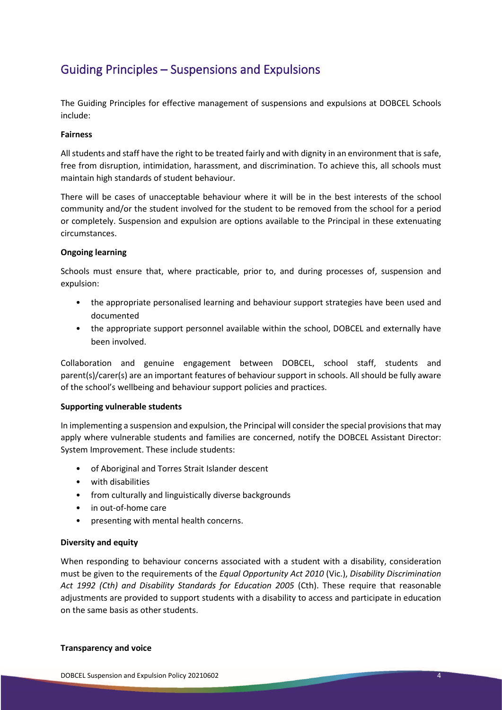# Guiding Principles – Suspensions and Expulsions

The Guiding Principles for effective management of suspensions and expulsions at DOBCEL Schools include:

#### **Fairness**

All students and staff have the right to be treated fairly and with dignity in an environment that is safe, free from disruption, intimidation, harassment, and discrimination. To achieve this, all schools must maintain high standards of student behaviour.

There will be cases of unacceptable behaviour where it will be in the best interests of the school community and/or the student involved for the student to be removed from the school for a period or completely. Suspension and expulsion are options available to the Principal in these extenuating circumstances.

#### **Ongoing learning**

Schools must ensure that, where practicable, prior to, and during processes of, suspension and expulsion:

- the appropriate personalised learning and behaviour support strategies have been used and documented
- the appropriate support personnel available within the school, DOBCEL and externally have been involved.

Collaboration and genuine engagement between DOBCEL, school staff, students and parent(s)/carer(s) are an important features of behaviour support in schools. All should be fully aware of the school's wellbeing and behaviour support policies and practices.

#### **Supporting vulnerable students**

In implementing a suspension and expulsion, the Principal will consider the special provisions that may apply where vulnerable students and families are concerned, notify the DOBCEL Assistant Director: System Improvement. These include students:

- of Aboriginal and Torres Strait Islander descent
- with disabilities
- from culturally and linguistically diverse backgrounds
- in out-of-home care
- presenting with mental health concerns.

#### **Diversity and equity**

When responding to behaviour concerns associated with a student with a disability, consideration must be given to the requirements of the *Equal Opportunity Act 2010* (Vic.), *Disability Discrimination Act 1992 (Cth) and Disability Standards for Education 2005* (Cth). These require that reasonable adjustments are provided to support students with a disability to access and participate in education on the same basis as other students.

#### **Transparency and voice**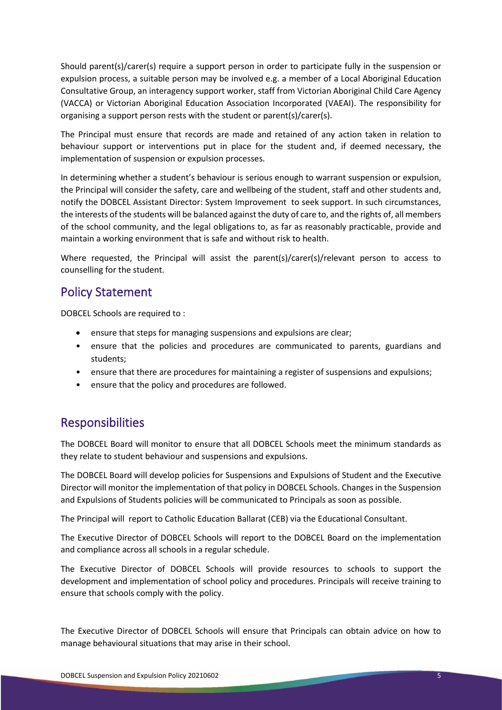Should parent(s)/carer(s) require a support person in order to participate fully in the suspension or expulsion process, a suitable person may be involved e.g. a member of a Local Aboriginal Education Consultative Group, an interagency support worker, staff from Victorian Aboriginal Child Care Agency (VACCA) or Victorian Aboriginal Education Association Incorporated (VAEAI). The responsibility for organising a support person rests with the student or parent(s)/carer(s).

The Principal must ensure that records are made and retained of any action taken in relation to behaviour support or interventions put in place for the student and, if deemed necessary, the implementation of suspension or expulsion processes.

In determining whether a student's behaviour is serious enough to warrant suspension or expulsion, the Principal will consider the safety, care and wellbeing of the student, staff and other students and, notify the DOBCEL Assistant Director: System Improvement to seek support. In such circumstances, the interests of the students will be balanced against the duty of care to, and the rights of, all members of the school community, and the legal obligations to, as far as reasonably practicable, provide and maintain a working environment that is safe and without risk to health.

Where requested, the Principal will assist the parent(s)/carer(s)/relevant person to access to counselling for the student.

### Policy Statement

DOBCEL Schools are required to :

- ensure that steps for managing suspensions and expulsions are clear;
- ensure that the policies and procedures are communicated to parents, guardians and students;
- ensure that there are procedures for maintaining a register of suspensions and expulsions;
- ensure that the policy and procedures are followed.

### Responsibilities

The DOBCEL Board will monitor to ensure that all DOBCEL Schools meet the minimum standards as they relate to student behaviour and suspensions and expulsions.

The DOBCEL Board will develop policies for Suspensions and Expulsions of Student and the Executive Director will monitor the implementation of that policy in DOBCEL Schools. Changes in the Suspension and Expulsions of Students policies will be communicated to Principals as soon as possible.

The Principal will report to Catholic Education Ballarat (CEB) via the Educational Consultant.

The Executive Director of DOBCEL Schools will report to the DOBCEL Board on the implementation and compliance across all schools in a regular schedule.

The Executive Director of DOBCEL Schools will provide resources to schools to support the development and implementation of school policy and procedures. Principals will receive training to ensure that schools comply with the policy.

The Executive Director of DOBCEL Schools will ensure that Principals can obtain advice on how to manage behavioural situations that may arise in their school.